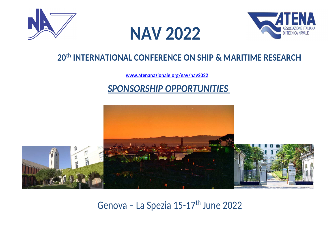





## **20th INTERNATIONAL CONFERENCE ON SHIP & MARITIME RESEARCH**

**www.atenanazionale.org/nav/nav2022**

## *SPONSORSHIP OPPORTUNITIES*



Genova - La Spezia 15-17<sup>th</sup> June 2022